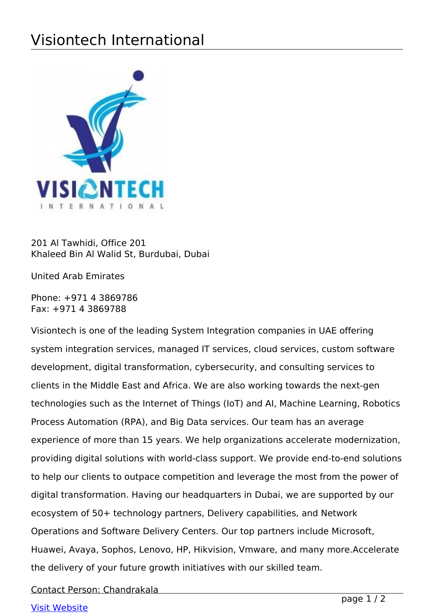## Visiontech International



201 Al Tawhidi, Office 201 Khaleed Bin Al Walid St, Burdubai, Dubai

United Arab Emirates

Phone: +971 4 3869786 Fax: +971 4 3869788

Visiontech is one of the leading System Integration companies in UAE offering system integration services, managed IT services, cloud services, custom software development, digital transformation, cybersecurity, and consulting services to clients in the Middle East and Africa. We are also working towards the next-gen technologies such as the Internet of Things (IoT) and AI, Machine Learning, Robotics Process Automation (RPA), and Big Data services. Our team has an average experience of more than 15 years. We help organizations accelerate modernization, providing digital solutions with world-class support. We provide end-to-end solutions to help our clients to outpace competition and leverage the most from the power of digital transformation. Having our headquarters in Dubai, we are supported by our ecosystem of 50+ technology partners, Delivery capabilities, and Network Operations and Software Delivery Centers. Our top partners include Microsoft, Huawei, Avaya, Sophos, Lenovo, HP, Hikvision, Vmware, and many more.Accelerate the delivery of your future growth initiatives with our skilled team.

Contact Person: Chandrakala

## [Visit Website](http://www.visiontechme.com)